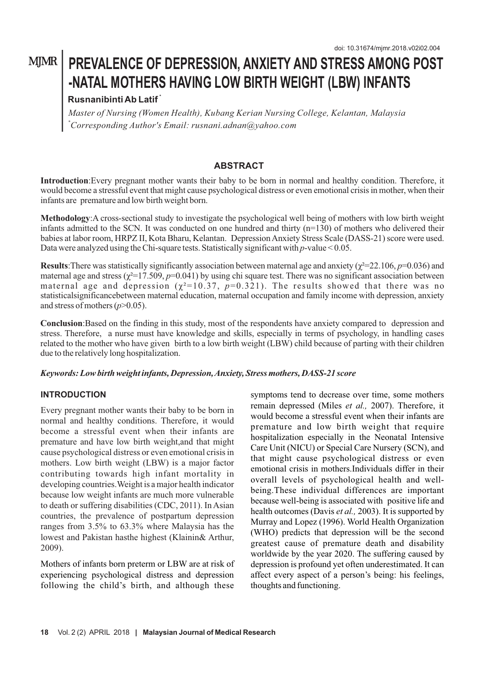# **MJMR** PREVALENCE OF DEPRESSION, ANXIETY AND STRESS AMONG POST **-NATAL MOTHERS HAVING LOW BIRTH WEIGHT (LBW) INFANTS**

# **\* Rusnanibinti Ab Latif**

*Master of Nursing (Women Health), Kubang Kerian Nursing College, Kelantan, Malaysia \*Corresponding Author's Email: rusnani.adnan@yahoo.com*

# **ABSTRACT**

**Introduction**:Every pregnant mother wants their baby to be born in normal and healthy condition. Therefore, it would become a stressful event that might cause psychological distress or even emotional crisis in mother, when their infants are premature and low birth weight born.

**Methodology**:A cross-sectional study to investigate the psychological well being of mothers with low birth weight infants admitted to the SCN. It was conducted on one hundred and thirty (n=130) of mothers who delivered their babies at labor room, HRPZ II, Kota Bharu, Kelantan. Depression Anxiety Stress Scale (DASS-21) score were used. Data were analyzed using the Chi-square tests. Statistically significant with *p*-value < 0.05.

**Results**: There was statistically significantly association between maternal age and anxiety ( $\chi^2$ =22.106, *p*=0.036) and maternal age and stress  $(\chi^2=17.509, p=0.041)$  by using chi square test. There was no significant association between maternal age and depression ( $\chi^2$ =10.37,  $p$ =0.321). The results showed that there was no statisticalsignificancebetween maternal education, maternal occupation and family income with depression, anxiety and stress of mothers  $(p>0.05)$ .

**Conclusion**:Based on the finding in this study, most of the respondents have anxiety compared to depression and stress. Therefore, a nurse must have knowledge and skills, especially in terms of psychology, in handling cases related to the mother who have given birth to a low birth weight (LBW) child because of parting with their children due to the relatively long hospitalization.

#### *Keywords: Low birth weight infants, Depression, Anxiety, Stress mothers, DASS-21 score*

## **INTRODUCTION**

Every pregnant mother wants their baby to be born in normal and healthy conditions. Therefore, it would become a stressful event when their infants are premature and have low birth weight,and that might cause psychological distress or even emotional crisis in mothers. Low birth weight (LBW) is a major factor contributing towards high infant mortality in developing countries.Weight is a major health indicator because low weight infants are much more vulnerable to death or suffering disabilities (CDC, 2011). In Asian countries, the prevalence of postpartum depression ranges from 3.5% to 63.3% where Malaysia has the lowest and Pakistan hasthe highest (Klainin& Arthur, 2009).

Mothers of infants born preterm or LBW are at risk of experiencing psychological distress and depression following the child's birth, and although these

symptoms tend to decrease over time, some mothers remain depressed (Miles *et al.,* 2007). Therefore, it would become a stressful event when their infants are premature and low birth weight that require hospitalization especially in the Neonatal Intensive Care Unit (NICU) or Special Care Nursery (SCN), and that might cause psychological distress or even emotional crisis in mothers.Individuals differ in their overall levels of psychological health and wellbeing.These individual differences are important because well-being is associated with positive life and health outcomes (Davis *et al.,* 2003). It is supported by Murray and Lopez (1996). World Health Organization (WHO) predicts that depression will be the second greatest cause of premature death and disability worldwide by the year 2020. The suffering caused by depression is profound yet often underestimated. It can affect every aspect of a person's being: his feelings, thoughts and functioning.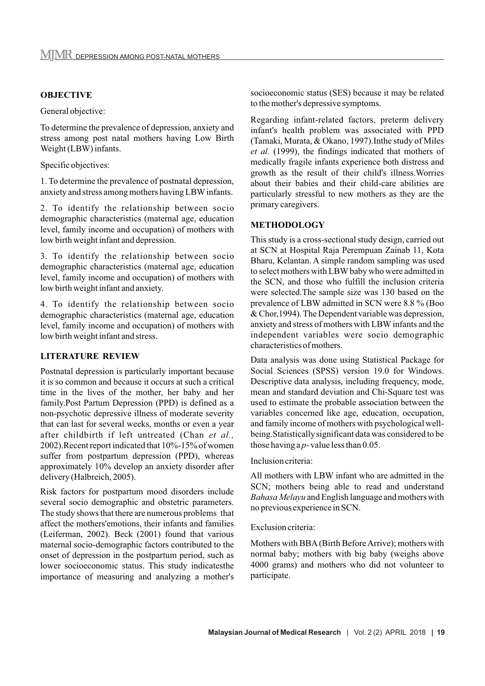#### **OBJECTIVE**

General objective:

To determine the prevalence of depression, anxiety and stress among post natal mothers having Low Birth Weight (LBW) infants.

Specific objectives:

1. To determine the prevalence of postnatal depression, anxiety and stress among mothers having LBWinfants.

2. To identify the relationship between socio demographic characteristics (maternal age, education level, family income and occupation) of mothers with low birth weight infant and depression.

3. To identify the relationship between socio demographic characteristics (maternal age, education level, family income and occupation) of mothers with low birth weight infant and anxiety.

4. To identify the relationship between socio demographic characteristics (maternal age, education level, family income and occupation) of mothers with low birth weight infant and stress.

#### **LITERATURE REVIEW**

Postnatal depression is particularly important because it is so common and because it occurs at such a critical time in the lives of the mother, her baby and her family.Post Partum Depression (PPD) is defined as a non-psychotic depressive illness of moderate severity that can last for several weeks, months or even a year after childbirth if left untreated (Chan *et al.,*  2002).Recent report indicated that 10%-15% of women suffer from postpartum depression (PPD), whereas approximately 10% develop an anxiety disorder after delivery (Halbreich, 2005).

Risk factors for postpartum mood disorders include several socio demographic and obstetric parameters. The study shows that there are numerous problems that affect the mothers'emotions, their infants and families (Leiferman, 2002). Beck (2001) found that various maternal socio-demographic factors contributed to the onset of depression in the postpartum period, such as lower socioeconomic status. This study indicatesthe importance of measuring and analyzing a mother's socioeconomic status (SES) because it may be related to the mother's depressive symptoms.

Regarding infant-related factors, preterm delivery infant's health problem was associated with PPD (Tamaki, Murata, & Okano, 1997).Inthe study of Miles *et al.* (1999), the findings indicated that mothers of medically fragile infants experience both distress and growth as the result of their child's illness.Worries about their babies and their child-care abilities are particularly stressful to new mothers as they are the primary caregivers.

#### **METHODOLOGY**

This study is a cross-sectional study design, carried out at SCN at Hospital Raja Perempuan Zainab 11, Kota Bharu, Kelantan. A simple random sampling was used to select mothers with LBW baby who were admitted in the SCN, and those who fulfill the inclusion criteria were selected.The sample size was 130 based on the prevalence of LBW admitted in SCN were 8.8 % (Boo & Chor,1994). The Dependent variable was depression, anxiety and stress of mothers with LBW infants and the independent variables were socio demographic characteristics of mothers.

Data analysis was done using Statistical Package for Social Sciences (SPSS) version 19.0 for Windows. Descriptive data analysis, including frequency, mode, mean and standard deviation and Chi-Square test was used to estimate the probable association between the variables concerned like age, education, occupation, and family income of mothers with psychological wellbeing.Statistically significant data was considered to be those having a *p*- value less than 0.05.

#### Inclusion criteria:

All mothers with LBW infant who are admitted in the SCN; mothers being able to read and understand *Bahasa Melayu* and English language and mothers with no previous experience in SCN.

#### Exclusion criteria:

Mothers with BBA(Birth Before Arrive); mothers with normal baby; mothers with big baby (weighs above 4000 grams) and mothers who did not volunteer to participate.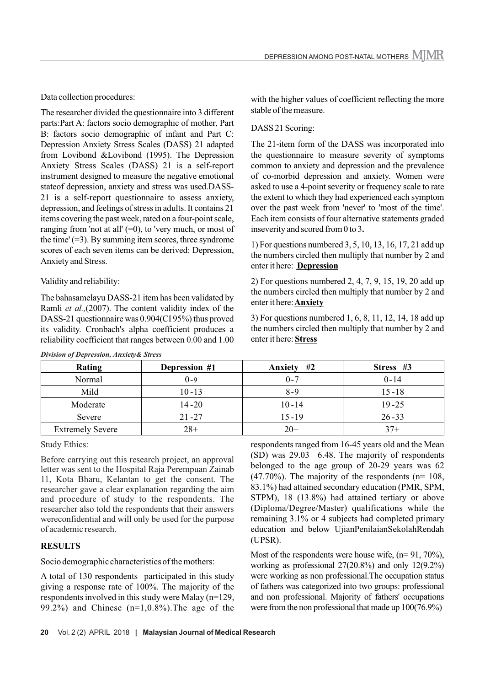Data collection procedures:

The researcher divided the questionnaire into 3 different parts:Part A: factors socio demographic of mother, Part B: factors socio demographic of infant and Part C: Depression Anxiety Stress Scales (DASS) 21 adapted from Lovibond &Lovibond (1995). The Depression Anxiety Stress Scales (DASS) 21 is a self-report instrument designed to measure the negative emotional stateof depression, anxiety and stress was used.DASS-21 is a self-report questionnaire to assess anxiety, depression, and feelings of stress in adults. It contains 21 items covering the past week, rated on a four-point scale, ranging from 'not at all'  $(=0)$ , to 'very much, or most of the time'  $(=3)$ . By summing item scores, three syndrome scores of each seven items can be derived: Depression, Anxiety and Stress.

#### Validity and reliability:

The bahasamelayu DASS-21 item has been validated by Ramli *et al.,*(2007). The content validity index of the DASS-21 questionnaire was 0.904(CI 95%) thus proved its validity. Cronbach's alpha coefficient produces a reliability coefficient that ranges between 0.00 and 1.00 with the higher values of coefficient reflecting the more stable of the measure.

#### DASS 21 Scoring:

The 21-item form of the DASS was incorporated into the questionnaire to measure severity of symptoms common to anxiety and depression and the prevalence of co-morbid depression and anxiety. Women were asked to use a 4-point severity or frequency scale to rate the extent to which they had experienced each symptom over the past week from 'never' to 'most of the time'. Each item consists of four alternative statements graded inseverity and scored from 0 to 3**.**

1) For questions numbered 3, 5, 10, 13, 16, 17, 21 add up the numbers circled then multiply that number by 2 and enter it here: **Depression**

2) For questions numbered 2, 4, 7, 9, 15, 19, 20 add up the numbers circled then multiply that number by 2 and enter it here:**Anxiety**

3) For questions numbered 1, 6, 8, 11, 12, 14, 18 add up the numbers circled then multiply that number by 2 and enter it here: **Stress**

| Rating                  | Depression #1 | #2<br>Anxiety | Stress #3 |
|-------------------------|---------------|---------------|-----------|
| Normal                  | $0 - 9$       | $0 - 7$       | $0 - 14$  |
| Mild                    | $10 - 13$     | $8 - 9$       | $15 - 18$ |
| Moderate                | $14 - 20$     | $10 - 14$     | $19 - 25$ |
| Severe                  | $21 - 27$     | $15 - 19$     | $26 - 33$ |
| <b>Extremely Severe</b> | $28+$         | $20+$         | $37+$     |

#### *Division of Depression, Anxiety& Stress*

Study Ethics:

Before carrying out this research project, an approval letter was sent to the Hospital Raja Perempuan Zainab 11, Kota Bharu, Kelantan to get the consent. The researcher gave a clear explanation regarding the aim and procedure of study to the respondents. The researcher also told the respondents that their answers wereconfidential and will only be used for the purpose of academic research.

#### **RESULTS**

Socio demographic characteristics of the mothers:

A total of 130 respondents participated in this study giving a response rate of 100%. The majority of the respondents involved in this study were Malay (n=129, 99.2%) and Chinese  $(n=1,0.8\%)$ . The age of the respondents ranged from 16-45 years old and the Mean (SD) was 29.03 6.48. The majority of respondents belonged to the age group of 20-29 years was 62  $(47.70\%)$ . The majority of the respondents (n= 108, 83.1%) had attained secondary education (PMR, SPM, STPM), 18 (13.8%) had attained tertiary or above (Diploma/Degree/Master) qualifications while the remaining 3.1% or 4 subjects had completed primary education and below UjianPenilaianSekolahRendah (UPSR).

Most of the respondents were house wife,  $(n= 91, 70\%)$ , working as professional 27(20.8%) and only 12(9.2%) were working as non professional.The occupation status of fathers was categorized into two groups: professional and non professional. Majority of fathers' occupations were from the non professional that made up 100(76.9%)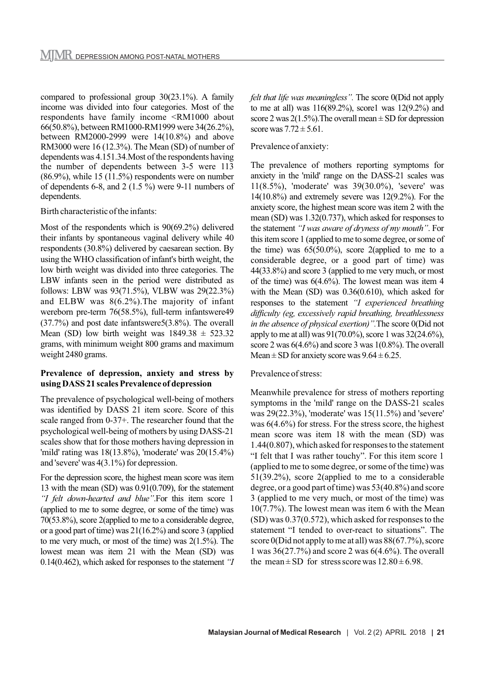compared to professional group 30(23.1%). A family income was divided into four categories. Most of the respondents have family income <RM1000 about 66(50.8%), between RM1000-RM1999 were 34(26.2%), between RM2000-2999 were 14(10.8%) and above RM3000 were 16 (12.3%). The Mean (SD) of number of dependents was 4.151.34.Most of the respondents having the number of dependents between 3-5 were 113 (86.9%), while 15 (11.5%) respondents were on number of dependents 6-8, and 2 (1.5 %) were 9-11 numbers of dependents.

#### Birth characteristic of the infants:

Most of the respondents which is 90(69.2%) delivered their infants by spontaneous vaginal delivery while 40 respondents (30.8%) delivered by caesarean section. By using the WHO classification of infant's birth weight, the low birth weight was divided into three categories. The LBW infants seen in the period were distributed as follows: LBW was 93(71.5%), VLBW was 29(22.3%) and ELBW was 8(6.2%).The majority of infant wereborn pre-term 76(58.5%), full-term infantswere49 (37.7%) and post date infantswere5(3.8%). The overall Mean (SD) low birth weight was  $1849.38 \pm 523.32$ grams, with minimum weight 800 grams and maximum weight 2480 grams.

#### **Prevalence of depression, anxiety and stress by using DASS 21 scales Prevalence of depression**

The prevalence of psychological well-being of mothers was identified by DASS 21 item score. Score of this scale ranged from 0-37+. The researcher found that the psychological well-being of mothers by using DASS-21 scales show that for those mothers having depression in 'mild' rating was 18(13.8%), 'moderate' was 20(15.4%) and 'severe' was 4(3.1%) for depression.

For the depression score, the highest mean score was item 13 with the mean (SD) was 0.91(0.709), for the statement *"I felt down-hearted and blue"*.For this item score 1 (applied to me to some degree, or some of the time) was 70(53.8%), score 2(applied to me to a considerable degree, or a good part of time) was 21(16.2%) and score 3 (applied to me very much, or most of the time) was 2(1.5%). The lowest mean was item 21 with the Mean (SD) was 0.14(0.462), which asked for responses to the statement *"I*  *felt that life was meaningless".* The score 0(Did not apply to me at all) was  $116(89.2%)$ , score1 was  $12(9.2%)$  and score 2 was  $2(1.5\%)$ . The overall mean  $\pm$  SD for depression score was  $7.72 \pm 5.61$ .

#### Prevalence of anxiety:

The prevalence of mothers reporting symptoms for anxiety in the 'mild' range on the DASS-21 scales was 11(8.5%), 'moderate' was 39(30.0%), 'severe' was  $14(10.8\%)$  and extremely severe was  $12(9.2\%)$ . For the anxiety score, the highest mean score was item 2 with the mean (SD) was 1.32(0.737), which asked for responses to the statement *"I was aware of dryness of my mouth"*. For this item score 1 (applied to me to some degree, or some of the time) was  $65(50.0\%)$ , score 2(applied to me to a considerable degree, or a good part of time) was 44(33.8%) and score 3 (applied to me very much, or most of the time) was  $6(4.6\%)$ . The lowest mean was item 4 with the Mean (SD) was 0.36(0.610), which asked for responses to the statement *"I experienced breathing difficulty (eg, excessively rapid breathing, breathlessness in the absence of physical exertion)".*The score 0(Did not apply to me at all) was 91(70.0%), score 1 was 32(24.6%), score 2 was 6(4.6%) and score 3 was 1(0.8%). The overall Mean  $\pm$  SD for anxiety score was  $9.64 \pm 6.25$ .

#### Prevalence of stress:

Meanwhile prevalence for stress of mothers reporting symptoms in the 'mild' range on the DASS-21 scales was 29(22.3%), 'moderate' was 15(11.5%) and 'severe' was  $6(4.6\%)$  for stress. For the stress score, the highest mean score was item 18 with the mean (SD) was 1.44(0.807), which asked for responses to the statement "I felt that I was rather touchy". For this item score 1 (applied to me to some degree, or some of the time) was 51(39.2%), score 2(applied to me to a considerable degree, or a good part of time) was 53(40.8%) and score 3 (applied to me very much, or most of the time) was 10(7.7%). The lowest mean was item 6 with the Mean (SD) was 0.37(0.572), which asked for responses to the statement "I tended to over-react to situations". The score 0(Did not apply to me at all) was 88(67.7%), score 1 was 36(27.7%) and score 2 was 6(4.6%). The overall the mean  $\pm$  SD for stress score was  $12.80 \pm 6.98$ .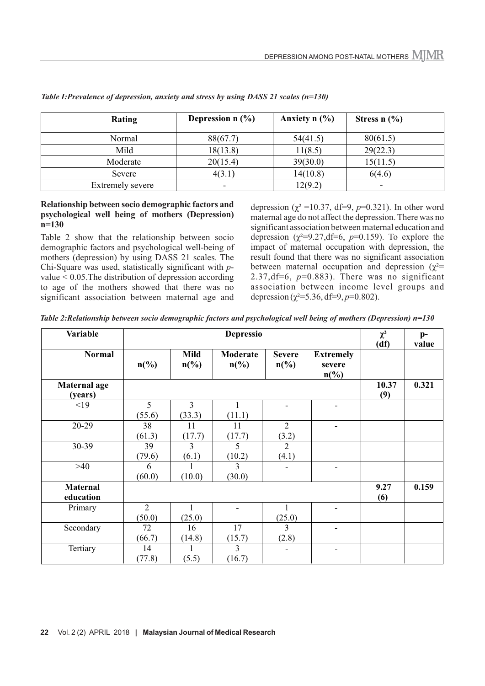| Rating           | Depression $n$ (%) | Anxiety $n$ $\left(\frac{9}{6}\right)$ | Stress $n$ $(\%)$ |
|------------------|--------------------|----------------------------------------|-------------------|
| Normal           | 88(67.7)           | 54(41.5)                               | 80(61.5)          |
| Mild             | 18(13.8)           | 11(8.5)                                | 29(22.3)          |
| Moderate         | 20(15.4)           | 39(30.0)                               | 15(11.5)          |
| Severe           | 4(3.1)             | 14(10.8)                               | 6(4.6)            |
| Extremely severe |                    | 12(9.2)                                |                   |

*Table I:Prevalence of depression, anxiety and stress by using DASS 21 scales (n=130)*

#### **Relationship between socio demographic factors and psychological well being of mothers (Depression) n=130**

Table 2 show that the relationship between socio demographic factors and psychological well-being of mothers (depression) by using DASS 21 scales. The Chi-Square was used, statistically significant with *p*value < 0.05.The distribution of depression according to age of the mothers showed that there was no significant association between maternal age and

depression ( $\chi^2$  =10.37, df=9, *p*=0.321). In other word maternal age do not affect the depression. There was no significant association between maternal education and depression  $(\chi^2=9.27,\text{df}=6, p=0.159)$ . To explore the impact of maternal occupation with depression, the result found that there was no significant association between maternal occupation and depression ( $\gamma^2$ = 2.37,df=6, *p*=0.883). There was no significant association between income level groups and depression ( $\chi^2$ =5.36, df=9, *p*=0.802).

*Table 2:Relationship between socio demographic factors and psychological well being of mothers (Depression) n=130*

| Variable                       |                             | <b>Depressio</b>               |                                                |                                              |                                                           |              |       |
|--------------------------------|-----------------------------|--------------------------------|------------------------------------------------|----------------------------------------------|-----------------------------------------------------------|--------------|-------|
| <b>Normal</b>                  | $n\left(\frac{9}{6}\right)$ | <b>Mild</b><br>$n\binom{0}{0}$ | <b>Moderate</b><br>$n\left(\frac{0}{0}\right)$ | <b>Severe</b><br>$n\left(\frac{0}{0}\right)$ | <b>Extremely</b><br>severe<br>$n\left(\frac{9}{6}\right)$ |              |       |
| <b>Maternal age</b><br>(years) |                             |                                |                                                |                                              |                                                           | 10.37<br>(9) | 0.321 |
| <19                            | 5<br>(55.6)                 | 3<br>(33.3)                    | 1<br>(11.1)                                    |                                              |                                                           |              |       |
| 20-29                          | 38<br>(61.3)                | 11<br>(17.7)                   | 11<br>(17.7)                                   | $\overline{2}$<br>(3.2)                      | $\blacksquare$                                            |              |       |
| 30-39                          | 39<br>(79.6)                | $\overline{3}$<br>(6.1)        | 5<br>(10.2)                                    | $\overline{2}$<br>(4.1)                      |                                                           |              |       |
| $>40$                          | 6<br>(60.0)                 | (10.0)                         | $\mathbf{3}$<br>(30.0)                         |                                              | -                                                         |              |       |
| <b>Maternal</b><br>education   |                             |                                |                                                |                                              |                                                           | 9.27<br>(6)  | 0.159 |
| Primary                        | $\overline{2}$<br>(50.0)    | 1<br>(25.0)                    |                                                | (25.0)                                       |                                                           |              |       |
| Secondary                      | 72<br>(66.7)                | 16<br>(14.8)                   | 17<br>(15.7)                                   | 3<br>(2.8)                                   | ۰                                                         |              |       |
| Tertiary                       | 14<br>(77.8)                | (5.5)                          | $\overline{3}$<br>(16.7)                       |                                              |                                                           |              |       |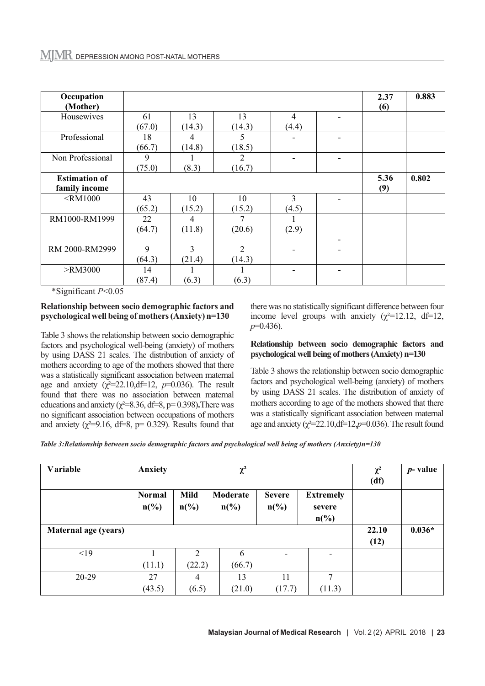| Occupation<br>(Mother) |        |        |                |                | 2.37<br>(6) | 0.883 |
|------------------------|--------|--------|----------------|----------------|-------------|-------|
| Housewives             | 61     | 13     | 13             | $\overline{4}$ |             |       |
|                        | (67.0) | (14.3) | (14.3)         | (4.4)          |             |       |
| Professional           | 18     | 4      | 5              |                |             |       |
|                        | (66.7) | (14.8) | (18.5)         |                |             |       |
| Non Professional       | 9      |        | $\overline{2}$ |                |             |       |
|                        | (75.0) | (8.3)  | (16.7)         |                |             |       |
| <b>Estimation of</b>   |        |        |                |                | 5.36        | 0.802 |
| family income          |        |        |                |                | (9)         |       |
| $\leq$ RM1000          | 43     | 10     | 10             | 3              |             |       |
|                        | (65.2) | (15.2) | (15.2)         | (4.5)          |             |       |
| RM1000-RM1999          | 22     | 4      |                |                |             |       |
|                        | (64.7) | (11.8) | (20.6)         | (2.9)          |             |       |
|                        |        |        |                |                |             |       |
| RM 2000-RM2999         | 9      | 3      | $\overline{2}$ |                |             |       |
|                        | (64.3) | (21.4) | (14.3)         |                |             |       |
| $>$ RM3000             | 14     |        |                |                |             |       |
|                        | (87.4) | (6.3)  | (6.3)          |                |             |       |

\*Significant *P*<0.05

#### **Relationship between socio demographic factors and psychological well being of mothers (Anxiety) n=130**

Table 3 shows the relationship between socio demographic factors and psychological well-being (anxiety) of mothers by using DASS 21 scales. The distribution of anxiety of mothers according to age of the mothers showed that there was a statistically significant association between maternal age and anxiety  $(\chi^2=22.10,\text{df}=12, p=0.036)$ . The result found that there was no association between maternal educations and anxiety ( $\chi^2$ =8.36, df=8, p= 0.398). There was no significant association between occupations of mothers and anxiety ( $\chi^2$ =9.16, df=8, p= 0.329). Results found that

there was no statistically significant difference between four income level groups with anxiety  $(\chi^2=12.12, df=12,$ *p*=0.436).

#### **Relationship between socio demographic factors and psychological well being of mothers (Anxiety) n=130**

Table 3 shows the relationship between socio demographic factors and psychological well-being (anxiety) of mothers by using DASS 21 scales. The distribution of anxiety of mothers according to age of the mothers showed that there was a statistically significant association between maternal age and anxiety ( $\gamma^2$ =22.10,df=12,p=0.036). The result found

*Table 3:Relationship between socio demographic factors and psychological well being of mothers (Anxiety)n=130*

| Variable             | Anxiety                                      |                         | $\chi^2$                                |                                              |                                                           | $\chi^2$<br>(df) | $p$ - value |
|----------------------|----------------------------------------------|-------------------------|-----------------------------------------|----------------------------------------------|-----------------------------------------------------------|------------------|-------------|
|                      | <b>Normal</b><br>$n\left(\frac{0}{0}\right)$ | Mild<br>$n\binom{0}{0}$ | Moderate<br>$n\left(\frac{0}{0}\right)$ | <b>Severe</b><br>$n\left(\frac{0}{0}\right)$ | <b>Extremely</b><br>severe<br>$n\left(\frac{0}{0}\right)$ |                  |             |
| Maternal age (years) |                                              |                         |                                         |                                              |                                                           | 22.10<br>(12)    | $0.036*$    |
| <19                  |                                              | $\overline{2}$          | 6                                       | $\overline{\phantom{a}}$                     | ۰                                                         |                  |             |
|                      | (11.1)                                       | (22.2)                  | (66.7)                                  |                                              |                                                           |                  |             |
| $20-29$              | 27                                           | 4                       | 13                                      | 11                                           | 7                                                         |                  |             |
|                      | (43.5)                                       | (6.5)                   | (21.0)                                  | (17.7)                                       | (11.3)                                                    |                  |             |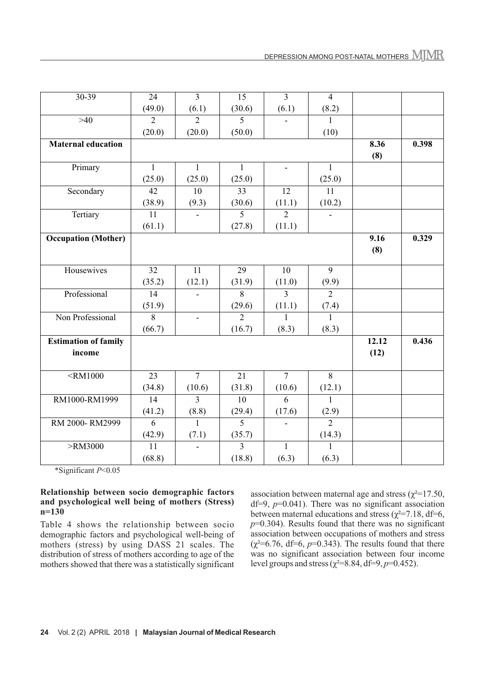| $30 - 39$                   | $\overline{24}$ | $\overline{3}$           | $\overline{15}$ | $\overline{3}$ | $\overline{4}$ |       |       |
|-----------------------------|-----------------|--------------------------|-----------------|----------------|----------------|-------|-------|
|                             | (49.0)          | (6.1)                    | (30.6)          | (6.1)          | (8.2)          |       |       |
| $>40$                       | $\overline{2}$  | $\overline{2}$           | 5               |                | 1              |       |       |
|                             | (20.0)          | (20.0)                   | (50.0)          |                | (10)           |       |       |
| <b>Maternal education</b>   |                 |                          |                 |                |                | 8.36  | 0.398 |
|                             |                 |                          |                 |                |                | (8)   |       |
| Primary                     | $\mathbf{1}$    | $\mathbf{1}$             | $\mathbf{1}$    | $\mathbf{r}$   | $\mathbf{1}$   |       |       |
|                             | (25.0)          | (25.0)                   | (25.0)          |                | (25.0)         |       |       |
| Secondary                   | 42              | 10                       | 33              | 12             | 11             |       |       |
|                             | (38.9)          | (9.3)                    | (30.6)          | (11.1)         | (10.2)         |       |       |
| Tertiary                    | 11              |                          | 5               | $\overline{2}$ |                |       |       |
|                             | (61.1)          |                          | (27.8)          | (11.1)         |                |       |       |
| <b>Occupation</b> (Mother)  |                 |                          |                 |                |                | 9.16  | 0.329 |
|                             |                 |                          |                 |                |                | (8)   |       |
|                             |                 |                          |                 |                |                |       |       |
| Housewives                  | 32              | 11                       | 29              | 10             | 9              |       |       |
|                             | (35.2)          | (12.1)                   | (31.9)          | (11.0)         | (9.9)          |       |       |
| Professional                | 14              |                          | 8               | 3              | $\overline{2}$ |       |       |
|                             | (51.9)          |                          | (29.6)          | (11.1)         | (7.4)          |       |       |
| Non Professional            | $\overline{8}$  | $\overline{\phantom{0}}$ | $\overline{2}$  | $\mathbf{1}$   | $\mathbf{1}$   |       |       |
|                             | (66.7)          |                          | (16.7)          | (8.3)          | (8.3)          |       |       |
| <b>Estimation of family</b> |                 |                          |                 |                |                | 12.12 | 0.436 |
| income                      |                 |                          |                 |                |                | (12)  |       |
|                             |                 |                          |                 |                |                |       |       |
| $<$ RM1000                  | 23              | $\overline{7}$           | 21              | $\overline{7}$ | 8              |       |       |
|                             | (34.8)          | (10.6)                   | (31.8)          | (10.6)         | (12.1)         |       |       |
| RM1000-RM1999               | 14              | $\overline{3}$           | 10              | 6              | $\mathbf{1}$   |       |       |
|                             | (41.2)          | (8.8)                    | (29.4)          | (17.6)         | (2.9)          |       |       |
| RM 2000-RM2999              | 6               | $\mathbf{1}$             | $\overline{5}$  |                | $\overline{2}$ |       |       |
|                             | (42.9)          | (7.1)                    | (35.7)          |                | (14.3)         |       |       |
| >RM3000                     | 11              |                          | 3               | $\mathbf{1}$   | $\mathbf{1}$   |       |       |
|                             | (68.8)          |                          | (18.8)          | (6.3)          | (6.3)          |       |       |

\*Significant *P*<0.05

#### **Relationship between socio demographic factors and psychological well being of mothers (Stress) n=130**

Table 4 shows the relationship between socio demographic factors and psychological well-being of mothers (stress) by using DASS 21 scales. The distribution of stress of mothers according to age of the mothers showed that there was a statistically significant

association between maternal age and stress ( $\chi^2$ =17.50, df=9, *p*=0.041). There was no significant association between maternal educations and stress ( $\chi^2$ =7.18, df=6, *p*=0.304). Results found that there was no significant association between occupations of mothers and stress  $(\chi^2=6.76, df=6, p=0.343)$ . The results found that there was no significant association between four income level groups and stress ( $\chi^2$ =8.84, df=9, *p*=0.452).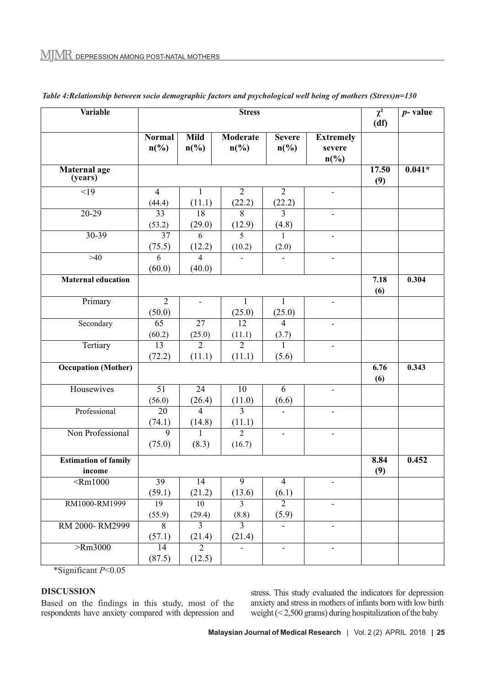| Variable                              | <b>Stress</b>                                |                                            |                                   |                                              |                                                           | $\chi^2$<br>(df) | $p$ - value |
|---------------------------------------|----------------------------------------------|--------------------------------------------|-----------------------------------|----------------------------------------------|-----------------------------------------------------------|------------------|-------------|
|                                       | <b>Normal</b><br>$n\left(\frac{0}{0}\right)$ | <b>Mild</b><br>$n\left(\frac{0}{0}\right)$ | <b>Moderate</b><br>$n\frac{6}{6}$ | <b>Severe</b><br>$n\left(\frac{0}{0}\right)$ | <b>Extremely</b><br>severe<br>$n\left(\frac{0}{0}\right)$ |                  |             |
| Maternal age<br>(years)               |                                              |                                            |                                   |                                              |                                                           | 17.50<br>(9)     | $0.041*$    |
| <19                                   | $\overline{4}$<br>(44.4)                     | 1<br>(11.1)                                | $\overline{2}$<br>(22.2)          | $\overline{2}$<br>(22.2)                     | $\blacksquare$                                            |                  |             |
| 20-29                                 | 33<br>(53.2)                                 | 18<br>(29.0)                               | $\overline{8}$<br>(12.9)          | $\overline{3}$<br>(4.8)                      | $\blacksquare$                                            |                  |             |
| $30 - 39$                             | $\overline{37}$<br>(75.5)                    | 6<br>(12.2)                                | 5<br>(10.2)                       | 1<br>(2.0)                                   |                                                           |                  |             |
| $>40$                                 | 6<br>(60.0)                                  | 4<br>(40.0)                                | $\blacksquare$                    |                                              | $\blacksquare$                                            |                  |             |
| <b>Maternal education</b>             |                                              |                                            |                                   |                                              |                                                           | 7.18<br>(6)      | 0.304       |
| Primary                               | $\overline{2}$<br>(50.0)                     | $\blacksquare$                             | $\mathbf{1}$<br>(25.0)            | 1<br>(25.0)                                  | $\frac{1}{2}$                                             |                  |             |
| Secondary                             | 65<br>(60.2)                                 | $\overline{27}$<br>(25.0)                  | 12<br>(11.1)                      | $\overline{4}$<br>(3.7)                      | $\mathbf{r}$                                              |                  |             |
| Tertiary                              | $\overline{13}$<br>(72.2)                    | $\overline{2}$<br>(11.1)                   | $\overline{2}$<br>(11.1)          | 1<br>(5.6)                                   | $\blacksquare$                                            |                  |             |
| <b>Occupation</b> (Mother)            |                                              |                                            |                                   |                                              |                                                           | 6.76<br>(6)      | 0.343       |
| Housewives                            | $\overline{51}$<br>(56.0)                    | 24<br>(26.4)                               | $\overline{10}$<br>(11.0)         | $\overline{6}$<br>(6.6)                      | $\blacksquare$                                            |                  |             |
| Professional                          | 20<br>(74.1)                                 | $\overline{4}$<br>(14.8)                   | $\overline{3}$<br>(11.1)          |                                              | $\sim$                                                    |                  |             |
| Non Professional                      | $\overline{9}$<br>(75.0)                     | 1<br>(8.3)                                 | $\overline{2}$<br>(16.7)          | $\blacksquare$                               | $\blacksquare$                                            |                  |             |
| <b>Estimation of family</b><br>income |                                              |                                            |                                   |                                              |                                                           | 8.84<br>(9)      | 0.452       |
| $\overline{\text{Rm}1000}$            | 39<br>(59.1)                                 | $\overline{14}$<br>(21.2)                  | $\overline{9}$<br>(13.6)          | $\overline{4}$<br>(6.1)                      |                                                           |                  |             |
| RM1000-RM1999                         | 19<br>(55.9)                                 | 10<br>(29.4)                               | $\overline{3}$<br>(8.8)           | $\overline{2}$<br>(5.9)                      | $\blacksquare$                                            |                  |             |
| RM 2000-RM2999                        | 8<br>(57.1)                                  | $\overline{3}$<br>(21.4)                   | $\overline{3}$<br>(21.4)          |                                              |                                                           |                  |             |
| $>$ Rm3000                            | 14<br>(87.5)                                 | $\overline{2}$<br>(12.5)                   |                                   | $\blacksquare$                               | $\blacksquare$                                            |                  |             |

*Table 4:Relationship between socio demographic factors and psychological well being of mothers (Stress)n=130*

\*Significant *P*<0.05

#### **DISCUSSION**

Based on the findings in this study, most of the respondents have anxiety compared with depression and stress. This study evaluated the indicators for depression anxiety and stress in mothers of infants born with low birth weight (< 2,500 grams) during hospitalization of the baby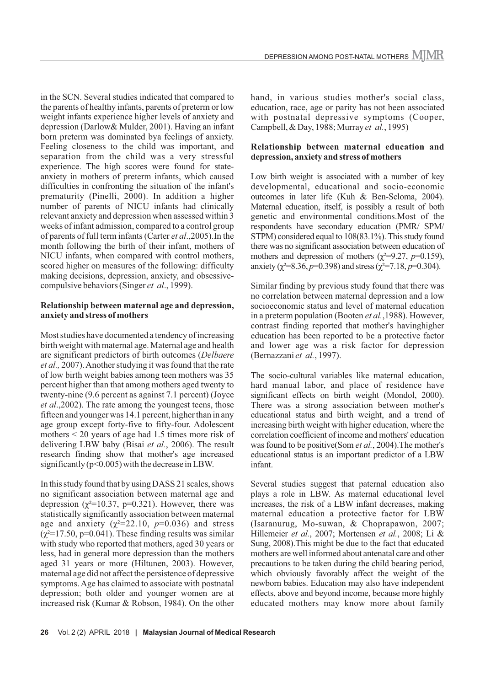in the SCN. Several studies indicated that compared to the parents of healthy infants, parents of preterm or low weight infants experience higher levels of anxiety and depression (Darlow& Mulder, 2001). Having an infant born preterm was dominated bya feelings of anxiety. Feeling closeness to the child was important, and separation from the child was a very stressful experience. The high scores were found for stateanxiety in mothers of preterm infants, which caused difficulties in confronting the situation of the infant's prematurity (Pinelli, 2000). In addition a higher number of parents of NICU infants had clinically relevant anxiety and depression when assessed within 3 weeks of infant admission, compared to a control group of parents of full term infants (Carter *et al*.,2005).In the month following the birth of their infant, mothers of NICU infants, when compared with control mothers, scored higher on measures of the following: difficulty making decisions, depression, anxiety, and obsessivecompulsive behaviors (Singer *et al*., 1999).

#### **Relationship between maternal age and depression, anxiety and stress of mothers**

Most studies have documented a tendency of increasing birth weight with maternal age. Maternal age and health are significant predictors of birth outcomes (*Delbaere et al.,* 2007). Another studying it was found that the rate of low birth weight babies among teen mothers was 35 percent higher than that among mothers aged twenty to twenty-nine (9.6 percent as against 7.1 percent) (Joyce *et al*.,2002). The rate among the youngest teens, those fifteen and younger was 14.1 percent, higher than in any age group except forty-five to fifty-four. Adolescent mothers < 20 years of age had 1.5 times more risk of delivering LBW baby (Bisai *et al.*, 2006). The result research finding show that mother's age increased significantly  $(p<0.005)$  with the decrease in LBW.

In this study found that by using DASS 21 scales, shows no significant association between maternal age and depression ( $\chi^2$ =10.37, p=0.321). However, there was statistically significantly association between maternal age and anxiety  $(\chi^2=22.10, p=0.036)$  and stress  $(\chi^2=17.50, p=0.041)$ . These finding results was similar with study who reported that mothers, aged 30 years or less, had in general more depression than the mothers aged 31 years or more (Hiltunen, 2003). However, maternal age did not affect the persistence of depressive symptoms. Age has claimed to associate with postnatal depression; both older and younger women are at increased risk (Kumar & Robson, 1984). On the other DEPRESSION AMONG POST-NATAL MOTHERS MINR

education, race, age or parity has not been associated with postnatal depressive symptoms (Cooper, Campbell, & Day, 1988; Murray *et al.*, 1995)

### **Relationship between maternal education and depression, anxiety and stress of mothers**

Low birth weight is associated with a number of key developmental, educational and socio-economic outcomes in later life (Kuh & Ben-Scloma, 2004). Maternal education, itself, is possibly a result of both genetic and environmental conditions.Most of the respondents have secondary education (PMR/ SPM/ STPM) considered equal to 108(83.1%). This study found there was no significant association between education of mothers and depression of mothers ( $\chi^2$ =9.27, *p*=0.159), anxiety ( $\chi^2 = 8.36$ ,  $p=0.398$ ) and stress ( $\chi^2 = 7.18$ ,  $p=0.304$ ).

Similar finding by previous study found that there was no correlation between maternal depression and a low socioeconomic status and level of maternal education in a preterm population (Booten *et al.*,1988). However, contrast finding reported that mother's havinghigher education has been reported to be a protective factor and lower age was a risk factor for depression (Bernazzani *et al.*, 1997).

The socio-cultural variables like maternal education, hard manual labor, and place of residence have significant effects on birth weight (Mondol, 2000). There was a strong association between mother's educational status and birth weight, and a trend of increasing birth weight with higher education, where the correlation coefficient of income and mothers' education was found to be positive(Som *et al.*, 2004).The mother's educational status is an important predictor of a LBW infant.

Several studies suggest that paternal education also plays a role in LBW. As maternal educational level increases, the risk of a LBW infant decreases, making maternal education a protective factor for LBW (Isaranurug, Mo-suwan, & Choprapawon, 2007; Hillemeier *et al.*, 2007; Mortensen *et al.*, 2008; Li & Sung, 2008).This might be due to the fact that educated mothers are well informed about antenatal care and other precautions to be taken during the child bearing period, which obviously favorably affect the weight of the newborn babies. Education may also have independent effects, above and beyond income, because more highly educated mothers may know more about family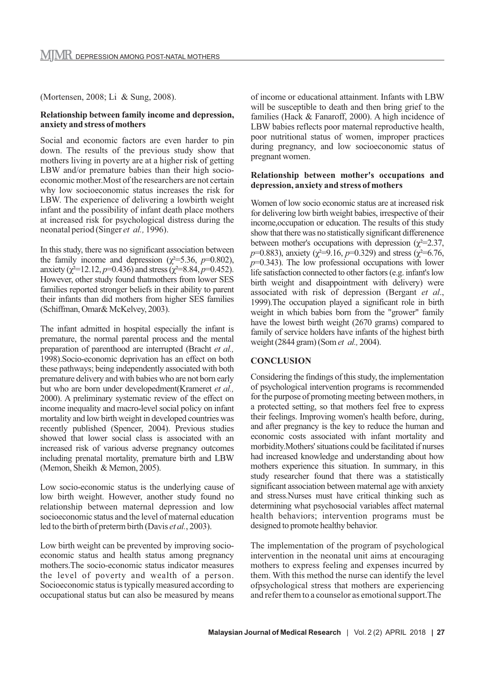(Mortensen, 2008; Li & Sung, 2008).

#### **Relationship between family income and depression, anxiety and stress of mothers**

Social and economic factors are even harder to pin down. The results of the previous study show that mothers living in poverty are at a higher risk of getting LBW and/or premature babies than their high socioeconomic mother.Most of the researchers are not certain why low socioeconomic status increases the risk for LBW. The experience of delivering a lowbirth weight infant and the possibility of infant death place mothers at increased risk for psychological distress during the neonatal period (Singer *et al.,* 1996).

In this study, there was no significant association between the family income and depression ( $\chi^2$ =5.36, *p*=0.802), anxiety ( $\chi^2$ =12.12, *p*=0.436) and stress ( $\chi^2$ =8.84, *p*=0.452). However, other study found thatmothers from lower SES families reported stronger beliefs in their ability to parent their infants than did mothers from higher SES families (Schiffman, Omar& McKelvey, 2003).

The infant admitted in hospital especially the infant is premature, the normal parental process and the mental preparation of parenthood are interrupted (Bracht *et al.,* 1998).Socio-economic deprivation has an effect on both these pathways; being independently associated with both premature delivery and with babies who are not born early but who are born under developedment(Krameret *et al.,* 2000). A preliminary systematic review of the effect on income inequality and macro-level social policy on infant mortality and low birth weight in developed countries was recently published (Spencer, 2004). Previous studies showed that lower social class is associated with an increased risk of various adverse pregnancy outcomes including prenatal mortality, premature birth and LBW (Memon, Sheikh & Memon, 2005).

Low socio-economic status is the underlying cause of low birth weight. However, another study found no relationship between maternal depression and low socioeconomic status and the level of maternal education led to the birth of preterm birth (Davis *et al.*, 2003).

Low birth weight can be prevented by improving socioeconomic status and health status among pregnancy mothers.The socio-economic status indicator measures the level of poverty and wealth of a person. Socioeconomic status is typically measured according to occupational status but can also be measured by means of income or educational attainment. Infants with LBW will be susceptible to death and then bring grief to the families (Hack & Fanaroff, 2000). A high incidence of LBW babies reflects poor maternal reproductive health, poor nutritional status of women, improper practices during pregnancy, and low socioeconomic status of pregnant women.

#### **Relationship between mother's occupations and depression, anxiety and stress of mothers**

Women of low socio economic status are at increased risk for delivering low birth weight babies, irrespective of their income,occupation or education. The results of this study show that there was no statistically significant differenence between mother's occupations with depression ( $\chi^2$ =2.37, *p*=0.883), anxiety ( $\chi^2$ =9.16, *p*=0.329) and stress ( $\chi^2$ =6.76, *p*=0.343). The low professional occupations with lower life satisfaction connected to other factors (e.g. infant's low birth weight and disappointment with delivery) were associated with risk of depression (Bergant *et al*., 1999).The occupation played a significant role in birth weight in which babies born from the "grower" family have the lowest birth weight (2670 grams) compared to family of service holders have infants of the highest birth weight (2844 gram) (Som *et al.,* 2004).

#### **CONCLUSION**

Considering the findings of this study, the implementation of psychological intervention programs is recommended for the purpose of promoting meeting between mothers, in a protected setting, so that mothers feel free to express their feelings. Improving women's health before, during, and after pregnancy is the key to reduce the human and economic costs associated with infant mortality and morbidity.Mothers' situations could be facilitated if nurses had increased knowledge and understanding about how mothers experience this situation. In summary, in this study researcher found that there was a statistically significant association between maternal age with anxiety and stress.Nurses must have critical thinking such as determining what psychosocial variables affect maternal health behaviors; intervention programs must be designed to promote healthy behavior.

The implementation of the program of psychological intervention in the neonatal unit aims at encouraging mothers to express feeling and expenses incurred by them. With this method the nurse can identify the level ofpsychological stress that mothers are experiencing and refer them to a counselor as emotional support.The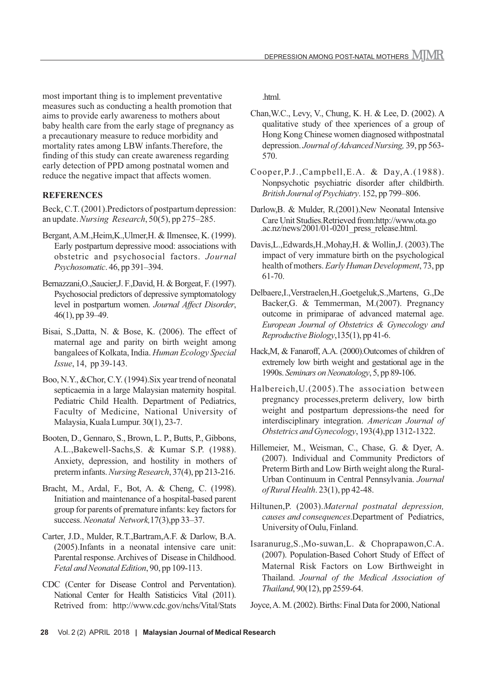most important thing is to implement preventative measures such as conducting a health promotion that aims to provide early awareness to mothers about baby health care from the early stage of pregnancy as a precautionary measure to reduce morbidity and mortality rates among LBW infants.Therefore, the finding of this study can create awareness regarding early detection of PPD among postnatal women and reduce the negative impact that affects women.

# **REFERENCES**

Beck, C.T. (2001).Predictors of postpartum depression: an update. *Nursing Research*, 50(5), pp 275–285.

- Bergant, A.M.,Heim,K.,Ulmer,H. & Ilmensee, K. (1999). Early postpartum depressive mood: associations with obstetric and psychosocial factors. *Journal Psychosomatic*. 46, pp 391–394.
- Bernazzani,O.,Saucier,J. F.,David, H. & Borgeat, F. (1997). Psychosocial predictors of depressive symptomatology level in postpartum women. *Journal Affect Disorder*, 46(1), pp 39–49.
- Bisai, S.,Datta, N. & Bose, K. (2006). The effect of maternal age and parity on birth weight among bangalees of Kolkata, India. *Human Ecology Special Issue*, 14, pp 39-143.
- Boo, N.Y., &Chor, C.Y. (1994).Six year trend of neonatal septicaemia in a large Malaysian maternity hospital. Pediatric Child Health. Department of Pediatrics, Faculty of Medicine, National University of Malaysia, Kuala Lumpur. 30(1), 23-7.
- Booten, D., Gennaro, S., Brown, L. P., Butts, P., Gibbons, A.L.,Bakewell-Sachs,S. & Kumar S.P. (1988). Anxiety, depression, and hostility in mothers of preterm infants. *Nursing Research*, 37(4), pp 213-216.
- Bracht, M., Ardal, F., Bot, A. & Cheng, C. (1998). Initiation and maintenance of a hospital-based parent group for parents of premature infants: key factors for success. *Neonatal Network,*17(3),pp 33–37.
- Carter, J.D., Mulder, R.T.,Bartram,A.F. & Darlow, B.A. (2005).Infants in a neonatal intensive care unit: Parental response. Archives of Disease in Childhood. *Fetal and Neonatal Edition*, 90, pp 109-113.
- CDC (Center for Disease Control and Perventation). National Center for Health Satisticics Vital (2011). Retrived from: http://www.cdc.gov/nchs/Vital/Stats

.html.

- Chan,W.C., Levy, V., Chung, K. H. & Lee, D. (2002). A qualitative study of thee xperiences of a group of Hong Kong Chinese women diagnosed withpostnatal depression. *Journal of Advanced Nursing,* 39, pp 563- 570.
- Cooper,P.J.,Campbell,E.A. & Day,A.(1988). Nonpsychotic psychiatric disorder after childbirth. *British Journal of Psychiatry*. 152, pp 799–806.
- Darlow,B. & Mulder, R.(2001).New Neonatal Intensive Care Unit Studies.Retrieved from:http://www.ota.go .ac.nz/news/2001/01-0201 press release.html.
- Davis,L.,Edwards,H.,Mohay,H. & Wollin,J. (2003).The impact of very immature birth on the psychological health of mothers. *Early Human Development*, 73, pp 61-70.
- Delbaere,I.,Verstraelen,H.,Goetgeluk,S.,Martens, G.,De Backer,G. & Temmerman, M.(2007). Pregnancy outcome in primiparae of advanced maternal age. *European Journal of Obstetrics & Gynecology and Reproductive Biology*,135(1), pp 41-6.
- Hack,M, & Fanaroff, A.A. (2000).Outcomes of children of extremely low birth weight and gestational age in the 1990s. *Seminars on Neonatology*, 5, pp 89-106.
- Halbereich,U.(2005).The association between pregnancy processes,preterm delivery, low birth weight and postpartum depressions-the need for interdisciplinary integration. *American Journal of Obstetrics and Gynecology*, 193(4),pp 1312-1322.
- Hillemeier, M., Weisman, C., Chase, G. & Dyer, A. (2007). Individual and Community Predictors of Preterm Birth and Low Birth weight along the Rural-Urban Continuum in Central Pennsylvania. *Journal of Rural Health*. 23(1), pp 42-48.
- Hiltunen,P. (2003).*Maternal postnatal depression, causes and consequences*.Department of Pediatrics, University of Oulu, Finland.
- Isaranurug,S.,Mo-suwan,L. & Choprapawon,C.A. (2007). Population-Based Cohort Study of Effect of Maternal Risk Factors on Low Birthweight in Thailand. *Journal of the Medical Association of Thailand*, 90(12), pp 2559-64.
- Joyce, A. M. (2002). Births: Final Data for 2000, National